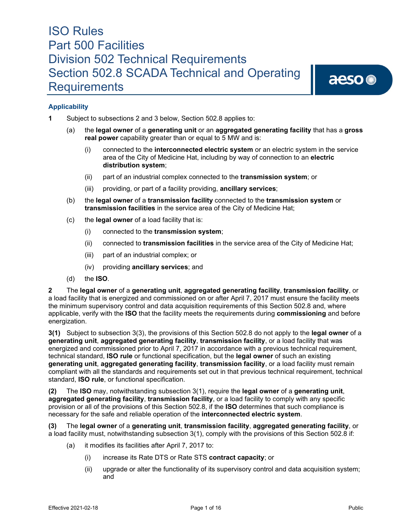aeso<sup>®</sup>

### **Applicability**

- **1** Subject to subsections 2 and 3 below, Section 502.8 applies to:
	- (a) the **legal owner** of a **generating unit** or an **aggregated generating facility** that has a **gross real power** capability greater than or equal to 5 MW and is:
		- (i) connected to the **interconnected electric system** or an electric system in the service area of the City of Medicine Hat, including by way of connection to an **electric distribution system**;
		- (ii) part of an industrial complex connected to the **transmission system**; or
		- (iii) providing, or part of a facility providing, **ancillary services**;
	- (b) the **legal owner** of a **transmission facility** connected to the **transmission system** or **transmission facilities** in the service area of the City of Medicine Hat;
	- (c) the **legal owner** of a load facility that is:
		- (i) connected to the **transmission system**;
		- (ii) connected to **transmission facilities** in the service area of the City of Medicine Hat;
		- (iii) part of an industrial complex; or
		- (iv) providing **ancillary services**; and
	- (d) the **ISO**.

**2** The **legal owner** of a **generating unit**, **aggregated generating facility**, **transmission facility**, or a load facility that is energized and commissioned on or after April 7, 2017 must ensure the facility meets the minimum supervisory control and data acquisition requirements of this Section 502.8 and, where applicable, verify with the **ISO** that the facility meets the requirements during **commissioning** and before energization.

**3(1)** Subject to subsection 3(3), the provisions of this Section 502.8 do not apply to the **legal owner** of a **generating unit**, **aggregated generating facility**, **transmission facility**, or a load facility that was energized and commissioned prior to April 7, 2017 in accordance with a previous technical requirement, technical standard, **ISO rule** or functional specification, but the **legal owner** of such an existing **generating unit**, **aggregated generating facility**, **transmission facility**, or a load facility must remain compliant with all the standards and requirements set out in that previous technical requirement, technical standard, **ISO rule**, or functional specification.

**(2)** The **ISO** may, notwithstanding subsection 3(1), require the **legal owner** of a **generating unit**, **aggregated generating facility**, **transmission facility**, or a load facility to comply with any specific provision or all of the provisions of this Section 502.8, if the **ISO** determines that such compliance is necessary for the safe and reliable operation of the **interconnected electric system**.

**(3)** The **legal owner** of a **generating unit**, **transmission facility**, **aggregated generating facility**, or a load facility must, notwithstanding subsection 3(1), comply with the provisions of this Section 502.8 if:

- (a) it modifies its facilities after April 7, 2017 to:
	- (i) increase its Rate DTS or Rate STS **contract capacity**; or
	- (ii) upgrade or alter the functionality of its supervisory control and data acquisition system; and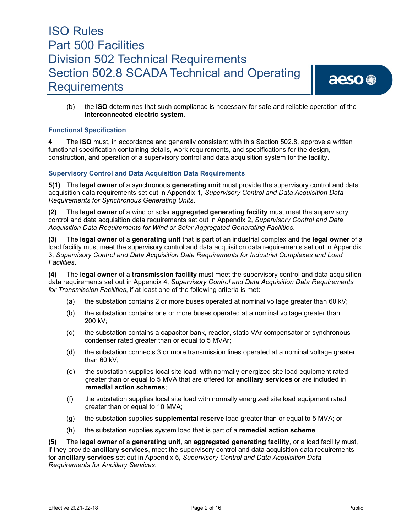aeso<sup>®</sup>

(b) the **ISO** determines that such compliance is necessary for safe and reliable operation of the **interconnected electric system**.

#### **Functional Specification**

**4** The **ISO** must, in accordance and generally consistent with this Section 502.8, approve a written functional specification containing details, work requirements, and specifications for the design, construction, and operation of a supervisory control and data acquisition system for the facility.

### **Supervisory Control and Data Acquisition Data Requirements**

**5(1)** The **legal owner** of a synchronous **generating unit** must provide the supervisory control and data acquisition data requirements set out in Appendix 1, *Supervisory Control and Data Acquisition Data Requirements for Synchronous Generating Units*.

**(2)** The **legal owner** of a wind or solar **aggregated generating facility** must meet the supervisory control and data acquisition data requirements set out in Appendix 2, *Supervisory Control and Data Acquisition Data Requirements for Wind or Solar Aggregated Generating Facilities*.

**(3)** The **legal owner** of a **generating unit** that is part of an industrial complex and the **legal owner** of a load facility must meet the supervisory control and data acquisition data requirements set out in Appendix 3, *Supervisory Control and Data Acquisition Data Requirements for Industrial Complexes and Load Facilities*.

**(4)** The **legal owner** of a **transmission facility** must meet the supervisory control and data acquisition data requirements set out in Appendix 4, *Supervisory Control and Data Acquisition Data Requirements for Transmission Facilities*, if at least one of the following criteria is met:

- (a) the substation contains 2 or more buses operated at nominal voltage greater than 60 kV;
- (b) the substation contains one or more buses operated at a nominal voltage greater than 200 kV;
- (c) the substation contains a capacitor bank, reactor, static VAr compensator or synchronous condenser rated greater than or equal to 5 MVAr;
- (d) the substation connects 3 or more transmission lines operated at a nominal voltage greater than 60 kV;
- (e) the substation supplies local site load, with normally energized site load equipment rated greater than or equal to 5 MVA that are offered for **ancillary services** or are included in **remedial action schemes**;
- (f) the substation supplies local site load with normally energized site load equipment rated greater than or equal to 10 MVA;
- (g) the substation supplies **supplemental reserve** load greater than or equal to 5 MVA; or
- (h) the substation supplies system load that is part of a **remedial action scheme**.

**(5)** The **legal owner** of a **generating unit**, an **aggregated generating facility**, or a load facility must, if they provide **ancillary services**, meet the supervisory control and data acquisition data requirements for **ancillary services** set out in Appendix 5, *Supervisory Control and Data Acquisition Data Requirements for Ancillary Services*.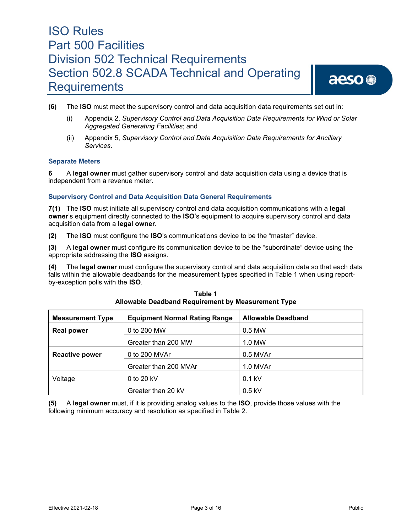# aeso<sup>®</sup>

- **(6)** The **ISO** must meet the supervisory control and data acquisition data requirements set out in:
	- (i) Appendix 2, *Supervisory Control and Data Acquisition Data Requirements for Wind or Solar Aggregated Generating Facilities*; and
	- (ii) Appendix 5, *Supervisory Control and Data Acquisition Data Requirements for Ancillary Services*.

#### **Separate Meters**

**6** A **legal owner** must gather supervisory control and data acquisition data using a device that is independent from a revenue meter.

#### **Supervisory Control and Data Acquisition Data General Requirements**

**7(1)** The **ISO** must initiate all supervisory control and data acquisition communications with a **legal owner**'s equipment directly connected to the **ISO**'s equipment to acquire supervisory control and data acquisition data from a **legal owner.**

**(2)** The **ISO** must configure the **ISO**'s communications device to be the "master" device.

**(3)** A **legal owner** must configure its communication device to be the "subordinate" device using the appropriate addressing the **ISO** assigns.

**(4)** The **legal owner** must configure the supervisory control and data acquisition data so that each data falls within the allowable deadbands for the measurement types specified in Table 1 when using reportby-exception polls with the **ISO**.

| <b>Measurement Type</b> | <b>Equipment Normal Rating Range</b> | <b>Allowable Deadband</b> |
|-------------------------|--------------------------------------|---------------------------|
| <b>Real power</b>       | 0 to 200 MW                          | $0.5$ MW                  |
|                         | Greater than 200 MW                  | 1.0 MW                    |
| <b>Reactive power</b>   | 0 to 200 MVAr                        | 0.5 MVAr                  |
|                         | Greater than 200 MVAr                | 1.0 MVAr                  |
| Voltage                 | 0 to 20 kV                           | $0.1$ kV                  |
|                         | Greater than 20 kV                   | $0.5$ kV                  |

| Table 1                                            |  |
|----------------------------------------------------|--|
| Allowable Deadband Requirement by Measurement Type |  |

**(5)** A **legal owner** must, if it is providing analog values to the **ISO**, provide those values with the following minimum accuracy and resolution as specified in Table 2.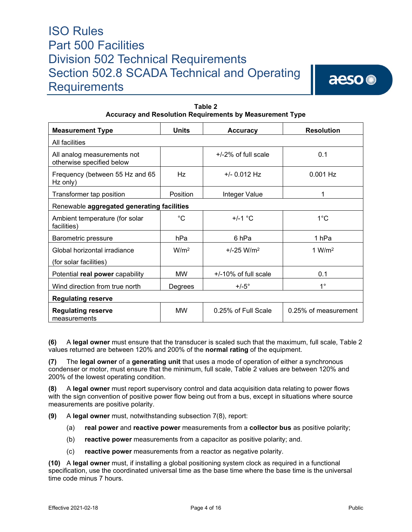# aeso<sup>®</sup>

| <b>Measurement Type</b>                                  | <b>Units</b>     | <b>Accuracy</b>          | <b>Resolution</b>    |
|----------------------------------------------------------|------------------|--------------------------|----------------------|
| All facilities                                           |                  |                          |                      |
| All analog measurements not<br>otherwise specified below |                  | $+/-2\%$ of full scale   | 0.1                  |
| Frequency (between 55 Hz and 65<br>Hz only)              | Hz               | $+/- 0.012$ Hz           | $0.001$ Hz           |
| Transformer tap position                                 | Position         | Integer Value            | 1                    |
| Renewable aggregated generating facilities               |                  |                          |                      |
| Ambient temperature (for solar<br>facilities)            | $^{\circ}C$      | $+/-1$ °C                | $1^{\circ}$ C        |
| Barometric pressure                                      | hPa              | 6 <sub>hPa</sub>         | 1 <sub>hPa</sub>     |
| Global horizontal irradiance<br>(for solar facilities)   | W/m <sup>2</sup> | $+/-25$ W/m <sup>2</sup> | 1 $W/m2$             |
| Potential real power capability                          | <b>MW</b>        | +/-10% of full scale     | 0.1                  |
| Wind direction from true north                           | Degrees          | $+/-5^\circ$             | $1^{\circ}$          |
| <b>Regulating reserve</b>                                |                  |                          |                      |
| <b>Regulating reserve</b><br>measurements                | <b>MW</b>        | 0.25% of Full Scale      | 0.25% of measurement |

| Table 2                                                         |
|-----------------------------------------------------------------|
| <b>Accuracy and Resolution Requirements by Measurement Type</b> |

**(6)** A **legal owner** must ensure that the transducer is scaled such that the maximum, full scale, Table 2 values returned are between 120% and 200% of the **normal rating** of the equipment.

**(7)** The **legal owner** of a **generating unit** that uses a mode of operation of either a synchronous condenser or motor, must ensure that the minimum, full scale, Table 2 values are between 120% and 200% of the lowest operating condition.

**(8)** A **legal owner** must report supervisory control and data acquisition data relating to power flows with the sign convention of positive power flow being out from a bus, except in situations where source measurements are positive polarity.

- **(9)** A **legal owner** must, notwithstanding subsection 7(8), report:
	- (a) **real power** and **reactive power** measurements from a **collector bus** as positive polarity;
	- (b) **reactive power** measurements from a capacitor as positive polarity; and.
	- (c) **reactive power** measurements from a reactor as negative polarity.

**(10)** A **legal owner** must, if installing a global positioning system clock as required in a functional specification, use the coordinated universal time as the base time where the base time is the universal time code minus 7 hours.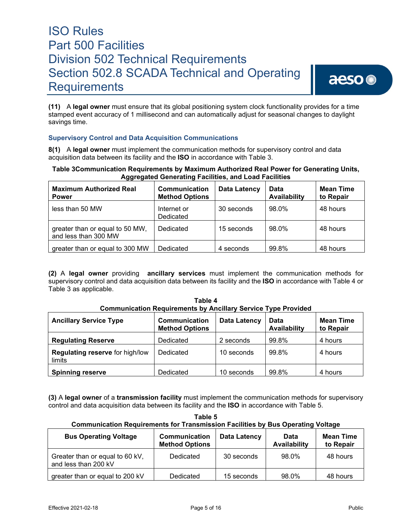# aeso<sup>®</sup>

**(11)** A **legal owner** must ensure that its global positioning system clock functionality provides for a time stamped event accuracy of 1 millisecond and can automatically adjust for seasonal changes to daylight savings time.

### **Supervisory Control and Data Acquisition Communications**

**8(1)** A **legal owner** must implement the communication methods for supervisory control and data acquisition data between its facility and the **ISO** in accordance with Table 3.

#### **Table 3Communication Requirements by Maximum Authorized Real Power for Generating Units, Aggregated Generating Facilities, and Load Facilities**

| <b>Maximum Authorized Real</b><br><b>Power</b>          | Communication<br><b>Method Options</b> | <b>Data Latency</b> | Data<br><b>Availability</b> | <b>Mean Time</b><br>to Repair |
|---------------------------------------------------------|----------------------------------------|---------------------|-----------------------------|-------------------------------|
| less than 50 MW                                         | Internet or<br>Dedicated               | 30 seconds          | 98.0%                       | 48 hours                      |
| greater than or equal to 50 MW,<br>and less than 300 MW | Dedicated                              | 15 seconds          | 98.0%                       | 48 hours                      |
| greater than or equal to 300 MW                         | Dedicated                              | 4 seconds           | 99.8%                       | 48 hours                      |

**(2)** A **legal owner** providing **ancillary services** must implement the communication methods for supervisory control and data acquisition data between its facility and the **ISO** in accordance with Table 4 or Table 3 as applicable.

|                     | <b>Communication Requirements by Ancillary Service Type Provided</b> |                     |     |
|---------------------|----------------------------------------------------------------------|---------------------|-----|
| <b>Service Type</b> | <b>Communication</b>                                                 | Data Latency   Data | Mea |

**Table 4**

| <b>Ancillary Service Type</b>             | Communication<br><b>Method Options</b> | <b>Data Latency</b> | Data<br>Availability | <b>Mean Time</b><br>to Repair |
|-------------------------------------------|----------------------------------------|---------------------|----------------------|-------------------------------|
| <b>Regulating Reserve</b>                 | Dedicated                              | 2 seconds           | 99.8%                | 4 hours                       |
| Regulating reserve for high/low<br>limits | Dedicated                              | 10 seconds          | 99.8%                | 4 hours                       |
| <b>Spinning reserve</b>                   | Dedicated                              | 10 seconds          | 99.8%                | 4 hours                       |

**(3)** A **legal owner** of a **transmission facility** must implement the communication methods for supervisory control and data acquisition data between its facility and the **ISO** in accordance with Table 5.

| Table 5                                                                         |  |
|---------------------------------------------------------------------------------|--|
| Communication Requirements for Transmission Facilities by Bus Operating Voltage |  |

| <b>Bus Operating Voltage</b>                            | Communication<br><b>Method Options</b> | Data Latency | Data<br>Availability | <b>Mean Time</b><br>to Repair |
|---------------------------------------------------------|----------------------------------------|--------------|----------------------|-------------------------------|
| Greater than or equal to 60 kV,<br>and less than 200 kV | Dedicated                              | 30 seconds   | 98.0%                | 48 hours                      |
| greater than or equal to 200 kV                         | Dedicated                              | 15 seconds   | 98.0%                | 48 hours                      |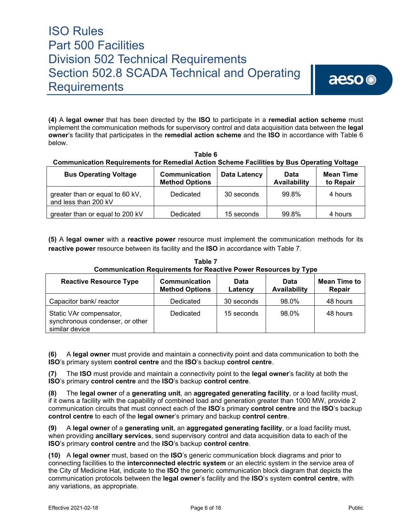# aeso<sup>®</sup>

**(4)** A **legal owner** that has been directed by the **ISO** to participate in a **remedial action scheme** must implement the communication methods for supervisory control and data acquisition data between the **legal owner**'s facility that participates in the **remedial action scheme** and the **ISO** in accordance with Table 6 below.

| Communication Requirements for Remedial Action Scheme Facilities by Bus Operating Voltage |  |
|-------------------------------------------------------------------------------------------|--|

| <b>Bus Operating Voltage</b>                            | Communication<br><b>Method Options</b> | Data Latency | Data<br><b>Availability</b> | <b>Mean Time</b><br>to Repair |
|---------------------------------------------------------|----------------------------------------|--------------|-----------------------------|-------------------------------|
| greater than or equal to 60 kV,<br>and less than 200 kV | Dedicated                              | 30 seconds   | 99.8%                       | 4 hours                       |
| greater than or equal to 200 kV                         | Dedicated                              | 15 seconds   | 99.8%                       | 4 hours                       |

**(5)** A **legal owner** with a **reactive power** resource must implement the communication methods for its **reactive power** resource between its facility and the **ISO** in accordance with Table 7.

|                                                                              | <u>oommuuduvn roganomonio idi roaduvu vuolitoodalood kyliypo</u> |                 |                      |                               |
|------------------------------------------------------------------------------|------------------------------------------------------------------|-----------------|----------------------|-------------------------------|
| <b>Reactive Resource Type</b>                                                | Communication<br><b>Method Options</b>                           | Data<br>Latency | Data<br>Availability | <b>Mean Time to</b><br>Repair |
| Capacitor bank/ reactor                                                      | Dedicated                                                        | 30 seconds      | 98.0%                | 48 hours                      |
| Static VAr compensator,<br>synchronous condenser, or other<br>similar device | Dedicated                                                        | 15 seconds      | 98.0%                | 48 hours                      |

**Table 7 Communication Requirements for Reactive Power Resources by Type** 

**(6)** A **legal owner** must provide and maintain a connectivity point and data communication to both the **ISO**'s primary system **control centre** and the **ISO**'s backup **control centre**.

**(7)** The **ISO** must provide and maintain a connectivity point to the **legal owner**'s facility at both the **ISO**'s primary **control centre** and the **ISO**'s backup **control centre**.

**(8)** The **legal owner** of a **generating unit**, an **aggregated generating facility**, or a load facility must, if it owns a facility with the capability of combined load and generation greater than 1000 MW, provide 2 communication circuits that must connect each of the **ISO**'s primary **control centre** and the **ISO**'s backup **control centre** to each of the **legal owner**'s primary and backup **control centre**.

**(9)** A **legal owner** of a **generating unit**, an **aggregated generating facility**, or a load facility must, when providing **ancillary services**, send supervisory control and data acquisition data to each of the **ISO**'s primary **control centre** and the **ISO**'s backup **control centre**.

**(10)** A **legal owner** must, based on the **ISO**'s generic communication block diagrams and prior to connecting facilities to the **interconnected electric system** or an electric system in the service area of the City of Medicine Hat, indicate to the **ISO** the generic communication block diagram that depicts the communication protocols between the **legal owner**'s facility and the **ISO**'s system **control centre**, with any variations, as appropriate.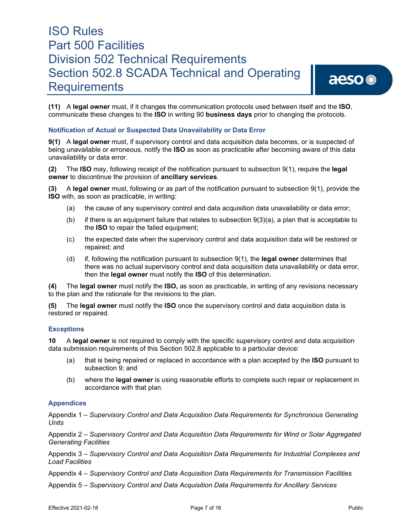# aeso<sup>®</sup>

**(11)** A **legal owner** must, if it changes the communication protocols used between itself and the **ISO**, communicate these changes to the **ISO** in writing 90 **business days** prior to changing the protocols.

#### **Notification of Actual or Suspected Data Unavailability or Data Error**

**9(1)** A **legal owner** must, if supervisory control and data acquisition data becomes, or is suspected of being unavailable or erroneous, notify the **ISO** as soon as practicable after becoming aware of this data unavailability or data error.

**(2)** The **ISO** may, following receipt of the notification pursuant to subsection 9(1), require the **legal owner** to discontinue the provision of **ancillary services**.

**(3)** A **legal owner** must, following or as part of the notification pursuant to subsection 9(1), provide the **ISO** with, as soon as practicable, in writing:

- (a) the cause of any supervisory control and data acquisition data unavailability or data error;
- (b) if there is an equipment failure that relates to subsection  $9(3)(a)$ , a plan that is acceptable to the **ISO** to repair the failed equipment;
- (c) the expected date when the supervisory control and data acquisition data will be restored or repaired; and
- (d) if, following the notification pursuant to subsection 9(1), the **legal owner** determines that there was no actual supervisory control and data acquisition data unavailability or data error, then the **legal owner** must notify the **ISO** of this determination.

**(4)** The **legal owner** must notify the **ISO,** as soon as practicable, in writing of any revisions necessary to the plan and the rationale for the revisions to the plan.

**(5)** The **legal owner** must notify the **ISO** once the supervisory control and data acquisition data is restored or repaired.

#### **Exceptions**

**10** A **legal owner** is not required to comply with the specific supervisory control and data acquisition data submission requirements of this Section 502.8 applicable to a particular device:

- (a) that is being repaired or replaced in accordance with a plan accepted by the **ISO** pursuant to subsection 9; and
- (b) where the **legal owner** is using reasonable efforts to complete such repair or replacement in accordance with that plan.

#### **Appendices**

Appendix 1 – *Supervisory Control and Data Acquisition Data Requirements for Synchronous Generating Units*

Appendix 2 – *Supervisory Control and Data Acquisition Data Requirements for Wind or Solar Aggregated Generating Facilities*

Appendix 3 – *Supervisory Control and Data Acquisition Data Requirements for Industrial Complexes and Load Facilities*

Appendix 4 – *Supervisory Control and Data Acquisition Data Requirements for Transmission Facilities*

Appendix 5 – *Supervisory Control and Data Acquisition Data Requirements for Ancillary Services*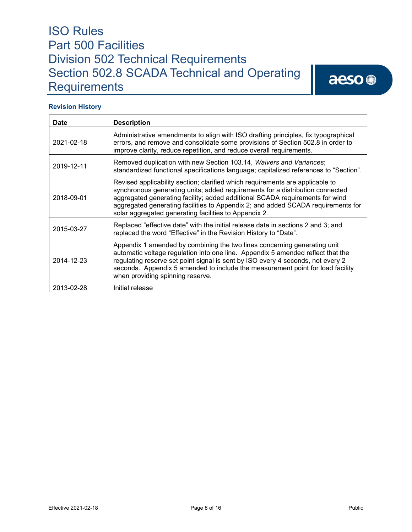# aeso<sup>@</sup>

### **Revision History**

| <b>Date</b> | <b>Description</b>                                                                                                                                                                                                                                                                                                                                                                          |
|-------------|---------------------------------------------------------------------------------------------------------------------------------------------------------------------------------------------------------------------------------------------------------------------------------------------------------------------------------------------------------------------------------------------|
| 2021-02-18  | Administrative amendments to align with ISO drafting principles, fix typographical<br>errors, and remove and consolidate some provisions of Section 502.8 in order to<br>improve clarity, reduce repetition, and reduce overall requirements.                                                                                                                                               |
| 2019-12-11  | Removed duplication with new Section 103.14, Waivers and Variances;<br>standardized functional specifications language; capitalized references to "Section".                                                                                                                                                                                                                                |
| 2018-09-01  | Revised applicability section; clarified which requirements are applicable to<br>synchronous generating units; added requirements for a distribution connected<br>aggregated generating facility; added additional SCADA requirements for wind<br>aggregated generating facilities to Appendix 2; and added SCADA requirements for<br>solar aggregated generating facilities to Appendix 2. |
| 2015-03-27  | Replaced "effective date" with the initial release date in sections 2 and 3; and<br>replaced the word "Effective" in the Revision History to "Date".                                                                                                                                                                                                                                        |
| 2014-12-23  | Appendix 1 amended by combining the two lines concerning generating unit<br>automatic voltage regulation into one line. Appendix 5 amended reflect that the<br>regulating reserve set point signal is sent by ISO every 4 seconds, not every 2<br>seconds. Appendix 5 amended to include the measurement point for load facility<br>when providing spinning reserve.                        |
| 2013-02-28  | Initial release                                                                                                                                                                                                                                                                                                                                                                             |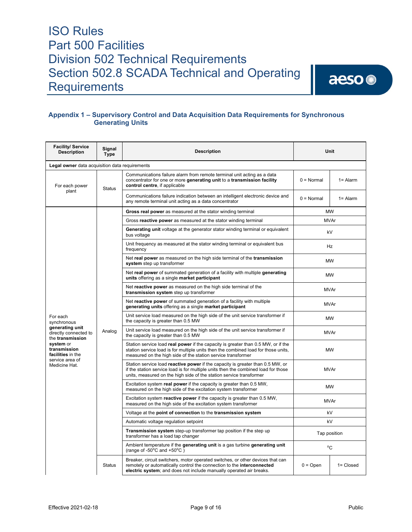aeso<sup>®</sup>

### **Appendix 1 – Supervisory Control and Data Acquisition Data Requirements for Synchronous Generating Units**

| <b>Facility/ Service</b><br><b>Description</b>               | Signal<br><b>Type</b>                          | <b>Description</b>                                                                                                                                                                                                                                 | Unit                |             |  |  |  |
|--------------------------------------------------------------|------------------------------------------------|----------------------------------------------------------------------------------------------------------------------------------------------------------------------------------------------------------------------------------------------------|---------------------|-------------|--|--|--|
|                                                              | Legal owner data acquisition data requirements |                                                                                                                                                                                                                                                    |                     |             |  |  |  |
| For each power<br>plant                                      | Status                                         | Communications failure alarm from remote terminal unit acting as a data<br>concentrator for one or more generating unit to a transmission facility<br>control centre, if applicable                                                                | $0 = Normal$        | $1 =$ Alarm |  |  |  |
|                                                              |                                                | Communications failure indication between an intelligent electronic device and<br>any remote terminal unit acting as a data concentrator                                                                                                           | $0 = \text{Normal}$ | $1 =$ Alarm |  |  |  |
|                                                              |                                                | Gross real power as measured at the stator winding terminal                                                                                                                                                                                        | <b>MW</b>           |             |  |  |  |
|                                                              |                                                | Gross reactive power as measured at the stator winding terminal                                                                                                                                                                                    | <b>MVAr</b>         |             |  |  |  |
|                                                              |                                                | <b>Generating unit</b> voltage at the generator stator winding terminal or equivalent<br>bus voltage                                                                                                                                               | kV                  |             |  |  |  |
|                                                              |                                                | Unit frequency as measured at the stator winding terminal or equivalent bus<br>frequency                                                                                                                                                           | Hz                  |             |  |  |  |
|                                                              |                                                | Net real power as measured on the high side terminal of the transmission<br>system step up transformer                                                                                                                                             | <b>MW</b>           |             |  |  |  |
|                                                              | Analog                                         | Net real power of summated generation of a facility with multiple generating<br>units offering as a single market participant                                                                                                                      | <b>MW</b>           |             |  |  |  |
|                                                              |                                                | Net reactive power as measured on the high side terminal of the<br>transmission system step up transformer                                                                                                                                         | <b>MVAr</b>         |             |  |  |  |
|                                                              |                                                | Net reactive power of summated generation of a facility with multiple<br>generating units offering as a single market participant                                                                                                                  | <b>MVAr</b>         |             |  |  |  |
| For each<br>synchronous                                      |                                                | Unit service load measured on the high side of the unit service transformer if<br>the capacity is greater than 0.5 MW                                                                                                                              | <b>MW</b>           |             |  |  |  |
| generating unit<br>directly connected to<br>the transmission |                                                | Unit service load measured on the high side of the unit service transformer if<br>the capacity is greater than 0.5 MW                                                                                                                              | <b>MVAr</b>         |             |  |  |  |
| system or<br>transmission<br>facilities in the               |                                                | Station service load real power if the capacity is greater than 0.5 MW, or if the<br>station service load is for multiple units then the combined load for those units,<br>measured on the high side of the station service transformer            | <b>MW</b>           |             |  |  |  |
| service area of<br>Medicine Hat.                             |                                                | Station service load <b>reactive power</b> if the capacity is greater than 0.5 MW, or<br>if the station service load is for multiple units then the combined load for those<br>units, measured on the high side of the station service transformer | <b>MVAr</b>         |             |  |  |  |
|                                                              |                                                | Excitation system real power if the capacity is greater than 0.5 MW,<br>measured on the high side of the excitation system transformer                                                                                                             | <b>MW</b>           |             |  |  |  |
|                                                              |                                                | Excitation system <b>reactive power</b> if the capacity is greater than 0.5 MW,<br>measured on the high side of the excitation system transformer                                                                                                  | <b>MVAr</b>         |             |  |  |  |
|                                                              |                                                | Voltage at the point of connection to the transmission system                                                                                                                                                                                      | kV                  |             |  |  |  |
|                                                              |                                                | Automatic voltage regulation setpoint                                                                                                                                                                                                              | kV                  |             |  |  |  |
|                                                              |                                                | Transmission system step-up transformer tap position if the step up<br>transformer has a load tap changer                                                                                                                                          | Tap position        |             |  |  |  |
|                                                              |                                                | Ambient temperature if the generating unit is a gas turbine generating unit<br>(range of -50 $\mathrm{^0C}$ and +50 $\mathrm{^0C}$ )                                                                                                               | ${}^{0}C$           |             |  |  |  |
|                                                              | Status                                         | Breaker, circuit switchers, motor operated switches, or other devices that can<br>remotely or automatically control the connection to the <b>interconnected</b><br>electric system; and does not include manually operated air breaks.             | $0 =$ Open          | 1= Closed   |  |  |  |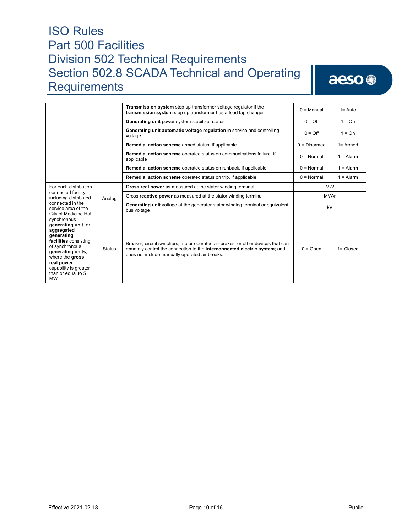# aeso<sup>®</sup>

|                                                                                                                                                                                                                             |               | Transmission system step up transformer voltage regulator if the<br>transmission system step up transformer has a load tap changer                                                                               | $0 =$ Manual        | $1 =$ Auto   |
|-----------------------------------------------------------------------------------------------------------------------------------------------------------------------------------------------------------------------------|---------------|------------------------------------------------------------------------------------------------------------------------------------------------------------------------------------------------------------------|---------------------|--------------|
|                                                                                                                                                                                                                             |               | Generating unit power system stabilizer status                                                                                                                                                                   | $0 = \text{Off}$    | $1 = On$     |
|                                                                                                                                                                                                                             |               | Generating unit automatic voltage regulation in service and controlling<br>voltage                                                                                                                               | $0 = \text{Off}$    | $1 = On$     |
|                                                                                                                                                                                                                             |               | Remedial action scheme armed status, if applicable                                                                                                                                                               | $0 = Disarmed$      | $1 =$ Armed  |
|                                                                                                                                                                                                                             |               | <b>Remedial action scheme</b> operated status on communications failure, if<br>applicable                                                                                                                        | $0 = Normal$        | $1 =$ Alarm  |
|                                                                                                                                                                                                                             |               | Remedial action scheme operated status on runback, if applicable                                                                                                                                                 | $0 = Normal$        | $1 =$ Alarm  |
|                                                                                                                                                                                                                             |               | <b>Remedial action scheme</b> operated status on trip, if applicable                                                                                                                                             | $0 = \text{Normal}$ | $1 =$ Alarm  |
| For each distribution                                                                                                                                                                                                       | Analog        | Gross real power as measured at the stator winding terminal                                                                                                                                                      | <b>MW</b>           |              |
| connected facility<br>including distributed                                                                                                                                                                                 |               | Gross reactive power as measured at the stator winding terminal                                                                                                                                                  | <b>MVAr</b>         |              |
| connected in the<br>service area of the<br>City of Medicine Hat.                                                                                                                                                            |               | <b>Generating unit</b> voltage at the generator stator winding terminal or equivalent<br>bus voltage                                                                                                             | kV                  |              |
| synchronous<br>generating unit, or<br>aggregated<br>generating<br>facilities consisting<br>of synchronous<br>generating units,<br>where the gross<br>real power<br>capability is greater<br>than or equal to 5<br><b>MW</b> | <b>Status</b> | Breaker, circuit switchers, motor operated air brakes, or other devices that can<br>remotely control the connection to the interconnected electric system; and<br>does not include manually operated air breaks. | $0 = Open$          | $1 = Closed$ |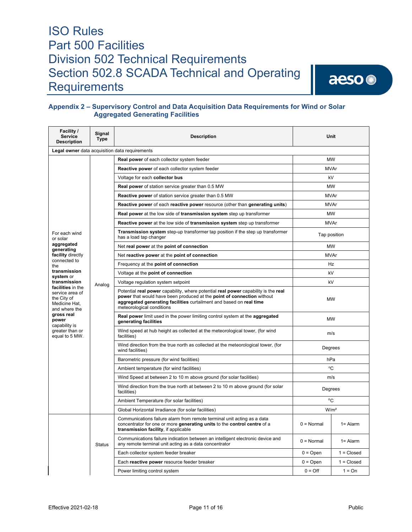aeso<sup>®</sup>

### **Appendix 2 – Supervisory Control and Data Acquisition Data Requirements for Wind or Solar Aggregated Generating Facilities**

| <b>Facility /</b><br><b>Service</b><br><b>Description</b>                             | Signal<br><b>Type</b> | <b>Description</b>                                                                                                                                                                                                                                               |                  | <b>Unit</b>      |  |  |
|---------------------------------------------------------------------------------------|-----------------------|------------------------------------------------------------------------------------------------------------------------------------------------------------------------------------------------------------------------------------------------------------------|------------------|------------------|--|--|
| <b>Legal owner</b> data acquisition data requirements                                 |                       |                                                                                                                                                                                                                                                                  |                  |                  |  |  |
|                                                                                       |                       | <b>Real power</b> of each collector system feeder                                                                                                                                                                                                                |                  | <b>MW</b>        |  |  |
|                                                                                       |                       | <b>Reactive power</b> of each collector system feeder                                                                                                                                                                                                            |                  | MVAr             |  |  |
|                                                                                       |                       | Voltage for each collector bus                                                                                                                                                                                                                                   | kV               |                  |  |  |
|                                                                                       |                       | <b>Real power</b> of station service greater than 0.5 MW                                                                                                                                                                                                         | MW               |                  |  |  |
|                                                                                       |                       | <b>Reactive power</b> of station service greater than 0.5 MW                                                                                                                                                                                                     | <b>MVAr</b>      |                  |  |  |
|                                                                                       |                       | <b>Reactive power of each reactive power resource (other than generating units)</b>                                                                                                                                                                              | <b>MVAr</b>      |                  |  |  |
|                                                                                       |                       | Real power at the low side of transmission system step up transformer                                                                                                                                                                                            |                  | <b>MW</b>        |  |  |
|                                                                                       |                       | <b>Reactive power</b> at the low side of <b>transmission system</b> step up transformer                                                                                                                                                                          | <b>MVAr</b>      |                  |  |  |
| For each wind<br>or solar                                                             |                       | <b>Transmission system</b> step-up transformer tap position if the step up transformer<br>has a load tap changer                                                                                                                                                 |                  | Tap position     |  |  |
| aggregated<br>generating                                                              |                       | Net real power at the point of connection                                                                                                                                                                                                                        | <b>MW</b>        |                  |  |  |
| facility directly                                                                     |                       | Net reactive power at the point of connection                                                                                                                                                                                                                    | <b>MVAr</b>      |                  |  |  |
| connected to<br>the                                                                   |                       | Frequency at the point of connection                                                                                                                                                                                                                             | Hz               |                  |  |  |
| transmission<br>system or                                                             |                       | Voltage at the <b>point of connection</b>                                                                                                                                                                                                                        | kV               |                  |  |  |
| transmission                                                                          | Analog                | Voltage regulation system setpoint                                                                                                                                                                                                                               | kV               |                  |  |  |
| facilities in the<br>service area of<br>the City of<br>Medicine Hat,<br>and where the |                       | Potential real power capability, where potential real power capability is the real<br>power that would have been produced at the point of connection without<br>aggregated generating facilities curtailment and based on real time<br>meteorological conditions | <b>MW</b>        |                  |  |  |
| gross real<br>power<br>capability is                                                  |                       | <b>Real power limit used in the power limiting control system at the aggregated</b><br>generating facilities                                                                                                                                                     |                  | <b>MW</b>        |  |  |
| greater than or<br>equal to 5 MW.                                                     |                       | Wind speed at hub height as collected at the meteorological tower, (for wind<br>facilities)                                                                                                                                                                      | m/s              |                  |  |  |
|                                                                                       |                       | Wind direction from the true north as collected at the meteorological tower, (for<br>wind facilities)                                                                                                                                                            |                  | Degrees          |  |  |
|                                                                                       |                       | Barometric pressure (for wind facilities)                                                                                                                                                                                                                        |                  | hPa              |  |  |
|                                                                                       |                       | Ambient temperature (for wind facilities)                                                                                                                                                                                                                        |                  | °C               |  |  |
|                                                                                       |                       | Wind Speed at between 2 to 10 m above ground (for solar facilities)                                                                                                                                                                                              | m/s              |                  |  |  |
|                                                                                       |                       | Wind direction from the true north at between 2 to 10 m above ground (for solar<br>facilities)                                                                                                                                                                   |                  | Degrees          |  |  |
|                                                                                       |                       | Ambient Temperature (for solar facilities)                                                                                                                                                                                                                       |                  | $^0C$            |  |  |
|                                                                                       |                       | Global Horizontal Irradiance (for solar facilities)                                                                                                                                                                                                              |                  | W/m <sup>2</sup> |  |  |
|                                                                                       |                       | Communications failure alarm from remote terminal unit acting as a data<br>concentrator for one or more generating units to the control centre of a<br>transmission facility, if applicable                                                                      | $0 = Normal$     | 1= Alarm         |  |  |
|                                                                                       | <b>Status</b>         | Communications failure indication between an intelligent electronic device and<br>any remote terminal unit acting as a data concentrator                                                                                                                         | $0 = Normal$     | $1 =$ Alarm      |  |  |
|                                                                                       |                       | Each collector system feeder breaker                                                                                                                                                                                                                             | $0 =$ Open       | $1 = Closed$     |  |  |
|                                                                                       |                       | Each reactive power resource feeder breaker                                                                                                                                                                                                                      | $0 = Open$       | $1 = Closed$     |  |  |
|                                                                                       |                       | Power limiting control system                                                                                                                                                                                                                                    | $0 = \text{Off}$ | $1 = On$         |  |  |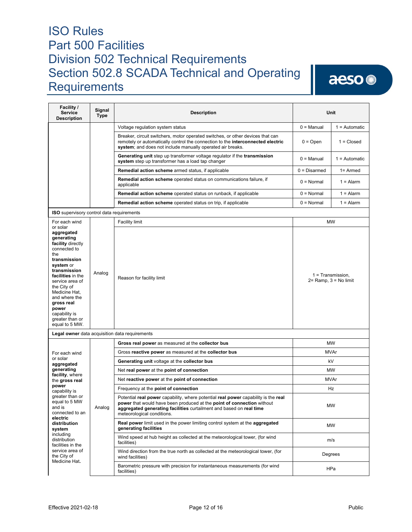aeso<sup>®</sup>

| <b>Facility /</b><br><b>Service</b><br>Description                                                                                                                                                                                                                                                  | Signal<br><b>Type</b> | <b>Description</b>                                                                                                                                                                                                                                                | Unit                                            |                 |
|-----------------------------------------------------------------------------------------------------------------------------------------------------------------------------------------------------------------------------------------------------------------------------------------------------|-----------------------|-------------------------------------------------------------------------------------------------------------------------------------------------------------------------------------------------------------------------------------------------------------------|-------------------------------------------------|-----------------|
|                                                                                                                                                                                                                                                                                                     |                       | Voltage regulation system status                                                                                                                                                                                                                                  | $0 =$ Manual                                    | $1 =$ Automatic |
|                                                                                                                                                                                                                                                                                                     |                       | Breaker, circuit switchers, motor operated switches, or other devices that can<br>remotely or automatically control the connection to the interconnected electric<br>system; and does not include manually operated air breaks.                                   | $0 =$ Open                                      | $1 = Closed$    |
|                                                                                                                                                                                                                                                                                                     |                       | Generating unit step up transformer voltage regulator if the transmission<br>system step up transformer has a load tap changer                                                                                                                                    | $0 =$ Manual                                    | $1 =$ Automatic |
|                                                                                                                                                                                                                                                                                                     |                       | <b>Remedial action scheme</b> armed status, if applicable                                                                                                                                                                                                         | $0 = Disarmed$                                  | $1 =$ Armed     |
|                                                                                                                                                                                                                                                                                                     |                       | <b>Remedial action scheme</b> operated status on communications failure, if<br>applicable                                                                                                                                                                         | $0 = Normal$                                    | $1 =$ Alarm     |
|                                                                                                                                                                                                                                                                                                     |                       | <b>Remedial action scheme</b> operated status on runback, if applicable                                                                                                                                                                                           | $0 = Normal$                                    | $1 =$ Alarm     |
|                                                                                                                                                                                                                                                                                                     |                       | <b>Remedial action scheme</b> operated status on trip, if applicable                                                                                                                                                                                              | $0 = \text{Normal}$                             | $1 =$ Alarm     |
| <b>ISO</b> supervisory control data requirements                                                                                                                                                                                                                                                    |                       |                                                                                                                                                                                                                                                                   |                                                 |                 |
| For each wind                                                                                                                                                                                                                                                                                       |                       | <b>Facility limit</b>                                                                                                                                                                                                                                             | <b>MW</b>                                       |                 |
| or solar<br>aggregated<br>generating<br>facility directly<br>connected to<br>the<br>transmission<br>system or<br>transmission<br>facilities in the<br>service area of<br>the City of<br>Medicine Hat.<br>and where the<br>gross real<br>power<br>capability is<br>greater than or<br>equal to 5 MW. | Analog                | Reason for facility limit                                                                                                                                                                                                                                         | $1 =$ Transmission.<br>$2=$ Ramp, $3=$ No limit |                 |
|                                                                                                                                                                                                                                                                                                     |                       | Legal owner data acquisition data requirements                                                                                                                                                                                                                    |                                                 |                 |
|                                                                                                                                                                                                                                                                                                     |                       | Gross real power as measured at the collector bus                                                                                                                                                                                                                 |                                                 | <b>MW</b>       |
| For each wind                                                                                                                                                                                                                                                                                       |                       | Gross reactive power as measured at the collector bus                                                                                                                                                                                                             |                                                 | <b>MVAr</b>     |
| or solar<br>aggregated                                                                                                                                                                                                                                                                              |                       | Generating unit voltage at the collector bus                                                                                                                                                                                                                      |                                                 | kV              |
| generating                                                                                                                                                                                                                                                                                          |                       | Net real power at the point of connection                                                                                                                                                                                                                         | MW                                              |                 |
| facility, where<br>the gross real                                                                                                                                                                                                                                                                   |                       | Net reactive power at the point of connection                                                                                                                                                                                                                     | <b>MVAr</b>                                     |                 |
| power<br>capability is                                                                                                                                                                                                                                                                              |                       | Frequency at the point of connection                                                                                                                                                                                                                              | Hz                                              |                 |
| greater than or<br>equal to 5 MW<br>and is<br>connected to an<br>electric<br>distribution<br>system<br>including<br>distribution<br>facilities in the                                                                                                                                               | Analog                | Potential real power capability, where potential real power capability is the real<br>power that would have been produced at the point of connection without<br>aggregated generating facilities curtailment and based on real time<br>meteorological conditions. |                                                 | MW              |
|                                                                                                                                                                                                                                                                                                     |                       | Real power limit used in the power limiting control system at the aggregated<br>generating facilities                                                                                                                                                             |                                                 | MW              |
|                                                                                                                                                                                                                                                                                                     |                       | Wind speed at hub height as collected at the meteorological tower, (for wind<br>facilities)                                                                                                                                                                       |                                                 | m/s             |
| service area of<br>the City of                                                                                                                                                                                                                                                                      |                       | Wind direction from the true north as collected at the meteorological tower, (for<br>wind facilities)                                                                                                                                                             |                                                 | Degrees         |
| Medicine Hat.                                                                                                                                                                                                                                                                                       |                       | Barometric pressure with precision for instantaneous measurements (for wind<br>facilities)                                                                                                                                                                        |                                                 | HPa             |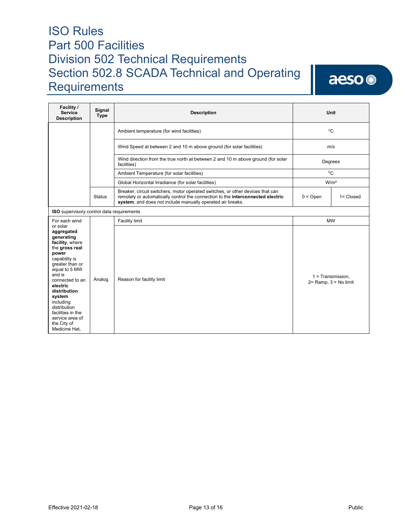aeso<sup>®</sup>

| Facility /<br><b>Service</b><br><b>Description</b>                                                                                                                                                                                                                                                              | Signal<br><b>Type</b> | <b>Description</b>                                                                                                                                                                                                              | Unit       |                                                 |
|-----------------------------------------------------------------------------------------------------------------------------------------------------------------------------------------------------------------------------------------------------------------------------------------------------------------|-----------------------|---------------------------------------------------------------------------------------------------------------------------------------------------------------------------------------------------------------------------------|------------|-------------------------------------------------|
|                                                                                                                                                                                                                                                                                                                 |                       | Ambient temperature (for wind facilities)                                                                                                                                                                                       |            | °C                                              |
|                                                                                                                                                                                                                                                                                                                 |                       | Wind Speed at between 2 and 10 m above ground (for solar facilities)                                                                                                                                                            |            | m/s                                             |
|                                                                                                                                                                                                                                                                                                                 |                       | Wind direction from the true north at between 2 and 10 m above ground (for solar<br>facilities)                                                                                                                                 |            | Degrees                                         |
|                                                                                                                                                                                                                                                                                                                 |                       | Ambient Temperature (for solar facilities)                                                                                                                                                                                      |            | ${}^{0}C$                                       |
|                                                                                                                                                                                                                                                                                                                 |                       | Global Horizontal Irradiance (for solar facilities)                                                                                                                                                                             |            | W/m <sup>2</sup>                                |
|                                                                                                                                                                                                                                                                                                                 | <b>Status</b>         | Breaker, circuit switchers, motor operated switches, or other devices that can<br>remotely or automatically control the connection to the interconnected electric<br>system; and does not include manually operated air breaks. | $0 =$ Open | $1 = Closed$                                    |
| ISO supervisory control data requirements                                                                                                                                                                                                                                                                       |                       |                                                                                                                                                                                                                                 |            |                                                 |
| For each wind                                                                                                                                                                                                                                                                                                   |                       | Facility limit                                                                                                                                                                                                                  |            | <b>MW</b>                                       |
| or solar<br>aggregated<br>generating<br>facility, where<br>the gross real<br>power<br>capability is<br>greater than or<br>equal to 5 MW<br>and is<br>connected to an<br>electric<br>distribution<br>system<br>including<br>distribution<br>facilities in the<br>service area of<br>the City of<br>Medicine Hat. | Analog                | Reason for facility limit                                                                                                                                                                                                       |            | $1 =$ Transmission,<br>$2=$ Ramp, $3=$ No limit |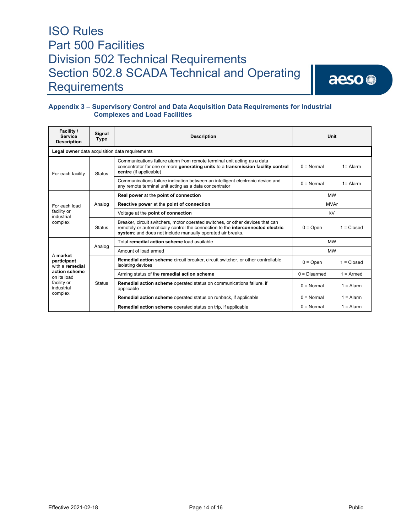aeso<sup>®</sup>

### **Appendix 3 – Supervisory Control and Data Acquisition Data Requirements for Industrial Complexes and Load Facilities**

| Facility /<br><b>Service</b><br><b>Description</b> | Signal<br><b>Type</b> | <b>Description</b>                                                                                                                                                                                                              | Unit           |              |
|----------------------------------------------------|-----------------------|---------------------------------------------------------------------------------------------------------------------------------------------------------------------------------------------------------------------------------|----------------|--------------|
|                                                    |                       | Legal owner data acquisition data requirements                                                                                                                                                                                  |                |              |
| For each facility                                  | <b>Status</b>         | Communications failure alarm from remote terminal unit acting as a data<br>concentrator for one or more generating units to a transmission facility control<br>centre (if applicable)                                           | $0 = Normal$   | $1 =$ Alarm  |
|                                                    |                       | Communications failure indication between an intelligent electronic device and<br>any remote terminal unit acting as a data concentrator                                                                                        | $0 = Normal$   | $1 =$ Alarm  |
|                                                    |                       | Real power at the point of connection                                                                                                                                                                                           | <b>MW</b>      |              |
| For each load                                      | Analog                | Reactive power at the point of connection                                                                                                                                                                                       | <b>MVAr</b>    |              |
| facility or<br>industrial                          |                       | Voltage at the point of connection                                                                                                                                                                                              | kV             |              |
| complex                                            | <b>Status</b>         | Breaker, circuit switchers, motor operated switches, or other devices that can<br>remotely or automatically control the connection to the interconnected electric<br>system; and does not include manually operated air breaks. | $0 = Open$     | $1 = Closed$ |
|                                                    | Analog                | Total remedial action scheme load available                                                                                                                                                                                     | <b>MW</b>      |              |
| A market                                           |                       | Amount of load armed                                                                                                                                                                                                            | <b>MW</b>      |              |
| participant<br>with a remedial                     | <b>Status</b>         | <b>Remedial action scheme</b> circuit breaker, circuit switcher, or other controllable<br>isolating devices                                                                                                                     | $0 =$ Open     | $1 = Closed$ |
| action scheme<br>on its load                       |                       | Arming status of the remedial action scheme                                                                                                                                                                                     | $0 = Disarmed$ | $1 =$ Armed  |
| facility or<br>industrial<br>complex               |                       | <b>Remedial action scheme</b> operated status on communications failure, if<br>applicable                                                                                                                                       | $0 = Normal$   | $1 =$ Alarm  |
|                                                    |                       | Remedial action scheme operated status on runback, if applicable                                                                                                                                                                | $0 = Normal$   | $1 =$ Alarm  |
|                                                    |                       | <b>Remedial action scheme</b> operated status on trip, if applicable                                                                                                                                                            | $0 = Normal$   | $1 =$ Alarm  |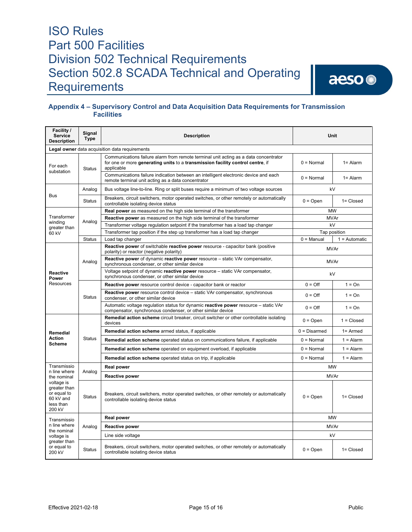aeso<sup>®</sup>

### **Appendix 4 – Supervisory Control and Data Acquisition Data Requirements for Transmission Facilities**

| Facility /<br><b>Service</b><br><b>Description</b>                            | Signal<br><b>Type</b>                                 | <b>Description</b>                                                                                                                                                                   | Unit                |                 |  |  |  |  |
|-------------------------------------------------------------------------------|-------------------------------------------------------|--------------------------------------------------------------------------------------------------------------------------------------------------------------------------------------|---------------------|-----------------|--|--|--|--|
|                                                                               | <b>Legal owner</b> data acquisition data requirements |                                                                                                                                                                                      |                     |                 |  |  |  |  |
| For each                                                                      | <b>Status</b>                                         | Communications failure alarm from remote terminal unit acting as a data concentrator<br>for one or more generating units to a transmission facility control centre, if<br>applicable | $0 = \text{Normal}$ | $1 =$ Alarm     |  |  |  |  |
| substation                                                                    |                                                       | Communications failure indication between an intelligent electronic device and each<br>remote terminal unit acting as a data concentrator                                            | $0 = \text{Normal}$ | $1 =$ Alarm     |  |  |  |  |
|                                                                               | Analog                                                | Bus voltage line-to-line. Ring or split buses require a minimum of two voltage sources                                                                                               | kV                  |                 |  |  |  |  |
| <b>Bus</b>                                                                    | <b>Status</b>                                         | Breakers, circuit switchers, motor operated switches, or other remotely or automatically<br>controllable isolating device status                                                     | $0 = Open$          | $1 = Closed$    |  |  |  |  |
|                                                                               |                                                       | <b>Real power</b> as measured on the high side terminal of the transformer                                                                                                           | <b>MW</b>           |                 |  |  |  |  |
| Transformer                                                                   | Analog                                                | <b>Reactive power</b> as measured on the high side terminal of the transformer                                                                                                       | <b>MVAr</b>         |                 |  |  |  |  |
| winding<br>greater than                                                       |                                                       | Transformer voltage regulation setpoint if the transformer has a load tap changer                                                                                                    | kV                  |                 |  |  |  |  |
| 60 kV                                                                         |                                                       | Transformer tap position if the step up transformer has a load tap changer                                                                                                           | Tap position        |                 |  |  |  |  |
|                                                                               | <b>Status</b>                                         | Load tap changer                                                                                                                                                                     | $0 =$ Manual        | $1 =$ Automatic |  |  |  |  |
|                                                                               |                                                       | Reactive power of switchable reactive power resource - capacitor bank (positive<br>polarity) or reactor (negative polarity)                                                          | <b>MVAr</b>         |                 |  |  |  |  |
|                                                                               | Analog                                                | Reactive power of dynamic reactive power resource - static VAr compensator,<br>synchronous condenser, or other similar device                                                        | <b>MVAr</b>         |                 |  |  |  |  |
| <b>Reactive</b><br>Power                                                      |                                                       | Voltage setpoint of dynamic reactive power resource - static VAr compensator,<br>synchronous condenser, or other similar device                                                      | kV                  |                 |  |  |  |  |
| Resources                                                                     |                                                       | <b>Reactive power</b> resource control device - capacitor bank or reactor                                                                                                            | $0 = \text{Off}$    | $1 = On$        |  |  |  |  |
|                                                                               | <b>Status</b>                                         | <b>Reactive power</b> resource control device – static VAr compensator, synchronous<br>condenser, or other similar device                                                            | $0 = \text{Off}$    | $1 = On$        |  |  |  |  |
|                                                                               |                                                       | Automatic voltage regulation status for dynamic reactive power resource - static VAr<br>compensator, synchronous condenser, or other similar device                                  | $0 = \bigcirc$      | $1 = On$        |  |  |  |  |
|                                                                               | <b>Status</b>                                         | Remedial action scheme circuit breaker, circuit switcher or other controllable isolating<br>devices                                                                                  | $0 = Open$          | $1 = Closed$    |  |  |  |  |
| Remedial                                                                      |                                                       | Remedial action scheme armed status, if applicable                                                                                                                                   | $0 = Disarmed$      | $1 =$ Armed     |  |  |  |  |
| <b>Action</b><br><b>Scheme</b>                                                |                                                       | <b>Remedial action scheme</b> operated status on communications failure, if applicable                                                                                               | $0 = Normal$        | $1 =$ Alarm     |  |  |  |  |
|                                                                               |                                                       | <b>Remedial action scheme</b> operated on equipment overload, if applicable                                                                                                          | $0 = \text{Normal}$ | $1 =$ Alarm     |  |  |  |  |
|                                                                               |                                                       | <b>Remedial action scheme</b> operated status on trip, if applicable                                                                                                                 | $0 = Normal$        | $1 =$ Alarm     |  |  |  |  |
| Transmissio<br>n line where                                                   | Analog<br><b>Status</b>                               | <b>Real power</b>                                                                                                                                                                    | <b>MW</b>           |                 |  |  |  |  |
| the nominal                                                                   |                                                       | <b>Reactive power</b>                                                                                                                                                                | <b>MVAr</b>         |                 |  |  |  |  |
| voltage is<br>greater than<br>or equal to<br>60 kV and<br>less than<br>200 kV |                                                       | Breakers, circuit switchers, motor operated switches, or other remotely or automatically<br>controllable isolating device status                                                     | $0 =$ Open          | $1 = Closed$    |  |  |  |  |
| Transmissio                                                                   | Analog                                                | <b>Real power</b>                                                                                                                                                                    | <b>MW</b>           |                 |  |  |  |  |
| n line where                                                                  |                                                       | <b>Reactive power</b>                                                                                                                                                                | <b>MVAr</b>         |                 |  |  |  |  |
| the nominal<br>voltage is                                                     |                                                       | Line side voltage                                                                                                                                                                    | kV                  |                 |  |  |  |  |
| greater than<br>or equal to<br>200 kV                                         | <b>Status</b>                                         | Breakers, circuit switchers, motor operated switches, or other remotely or automatically<br>controllable isolating device status                                                     | $0 = Open$          | $1 = Closed$    |  |  |  |  |